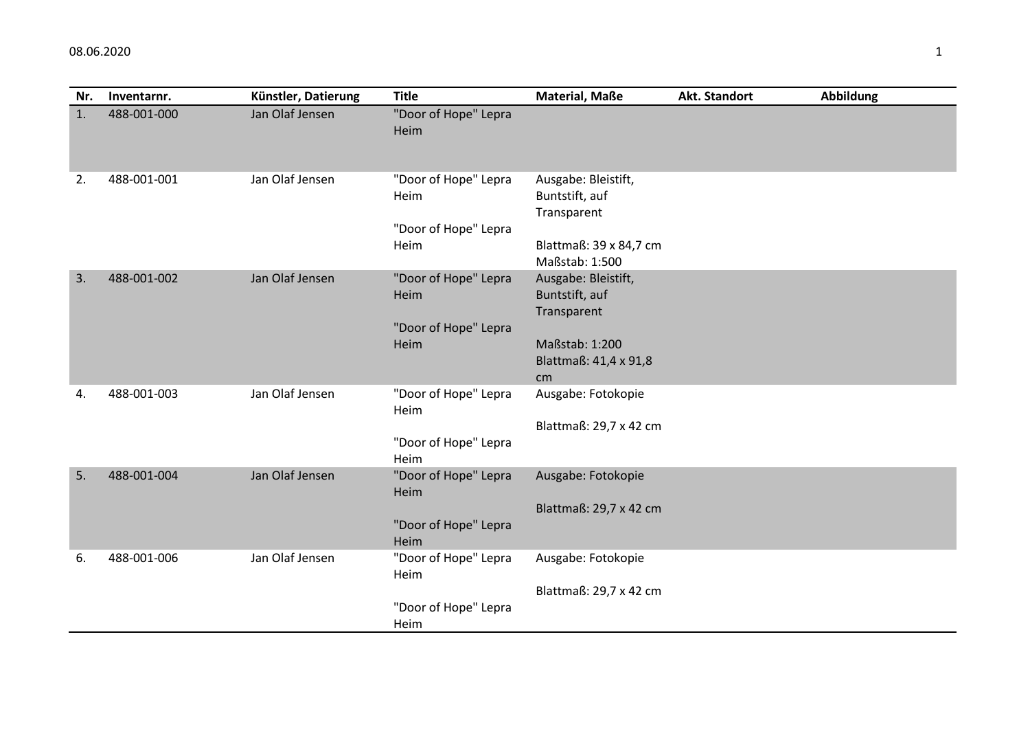| Nr. | Inventarnr. | Künstler, Datierung | <b>Title</b>                                         | Material, Maße                                       | Akt. Standort | <b>Abbildung</b> |
|-----|-------------|---------------------|------------------------------------------------------|------------------------------------------------------|---------------|------------------|
| 1.  | 488-001-000 | Jan Olaf Jensen     | "Door of Hope" Lepra<br>Heim                         |                                                      |               |                  |
| 2.  | 488-001-001 | Jan Olaf Jensen     | "Door of Hope" Lepra<br>Heim<br>"Door of Hope" Lepra | Ausgabe: Bleistift,<br>Buntstift, auf<br>Transparent |               |                  |
|     |             |                     | Heim                                                 | Blattmaß: 39 x 84,7 cm<br>Maßstab: 1:500             |               |                  |
| 3.  | 488-001-002 | Jan Olaf Jensen     | "Door of Hope" Lepra<br>Heim                         | Ausgabe: Bleistift,<br>Buntstift, auf<br>Transparent |               |                  |
|     |             |                     | "Door of Hope" Lepra<br>Heim                         | Maßstab: 1:200<br>Blattmaß: 41,4 x 91,8<br>cm        |               |                  |
| 4.  | 488-001-003 | Jan Olaf Jensen     | "Door of Hope" Lepra<br>Heim                         | Ausgabe: Fotokopie                                   |               |                  |
|     |             |                     | "Door of Hope" Lepra<br>Heim                         | Blattmaß: 29,7 x 42 cm                               |               |                  |
| 5.  | 488-001-004 | Jan Olaf Jensen     | "Door of Hope" Lepra<br>Heim                         | Ausgabe: Fotokopie                                   |               |                  |
|     |             |                     | "Door of Hope" Lepra<br>Heim                         | Blattmaß: 29,7 x 42 cm                               |               |                  |
| 6.  | 488-001-006 | Jan Olaf Jensen     | "Door of Hope" Lepra<br>Heim                         | Ausgabe: Fotokopie                                   |               |                  |
|     |             |                     | "Door of Hope" Lepra<br>Heim                         | Blattmaß: 29,7 x 42 cm                               |               |                  |